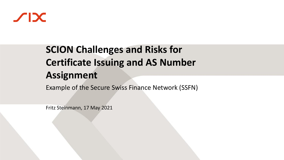

# **SCION Challenges and Risks for Certificate Issuing and AS Number Assignment**

Example of the Secure Swiss Finance Network (SSFN)

Fritz Steinmann, 17 May 2021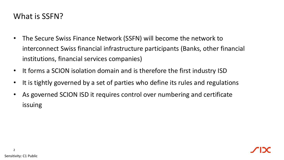#### What is SSFN?

- The Secure Swiss Finance Network (SSFN) will become the network to interconnect Swiss financial infrastructure participants (Banks, other financial institutions, financial services companies)
- It forms a SCION isolation domain and is therefore the first industry ISD
- It is tightly governed by a set of parties who define its rules and regulations
- As governed SCION ISD it requires control over numbering and certificate issuing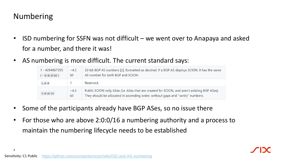#### Numbering

- ISD numbering for SSFN was not difficult we went over to Anapaya and asked for a number, and there it was!
- AS numbering is more difficult. The current standard says:

| 1 - 4294967295<br>$({\sim \theta : \theta : \theta / 16})$ | $~-4.3$<br>bil | 32-bit BGP AS numbers [2], formatted as decimal. If a BGP AS deploys SCION, it has the same<br>AS number for both BGP and SCION.                                                |
|------------------------------------------------------------|----------------|---------------------------------------------------------------------------------------------------------------------------------------------------------------------------------|
| 1:0:0                                                      |                | Reserved.                                                                                                                                                                       |
| 2:0:0/16                                                   | $~-4.3$<br>bil | Public SCION-only ASes (i.e. ASes that are created for SCION, and aren't existing BGP ASes).<br>They should be allocated in ascending order, without gaps and "vanity" numbers. |

- Some of the participants already have BGP ASes, so no issue there
- For those who are above 2:0:0/16 a numbering authority and a process to maintain the numbering lifecycle needs to be established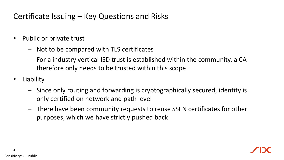### Certificate Issuing – Key Questions and Risks

- Public or private trust
	- − Not to be compared with TLS certificates
	- − For a industry vertical ISD trust is established within the community, a CA therefore only needs to be trusted within this scope
- Liability
	- − Since only routing and forwarding is cryptographically secured, identity is only certified on network and path level
	- − There have been community requests to reuse SSFN certificates for other purposes, which we have strictly pushed back

4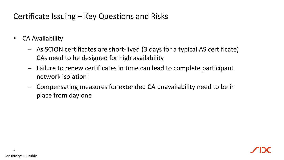### Certificate Issuing – Key Questions and Risks

- CA Availability
	- − As SCION certificates are short-lived (3 days for a typical AS certificate) CAs need to be designed for high availability
	- − Failure to renew certificates in time can lead to complete participant network isolation!
	- − Compensating measures for extended CA unavailability need to be in place from day one

5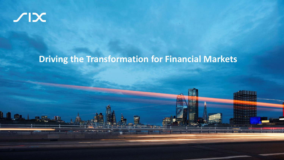

## **Driving the Transformation for Financial Markets**